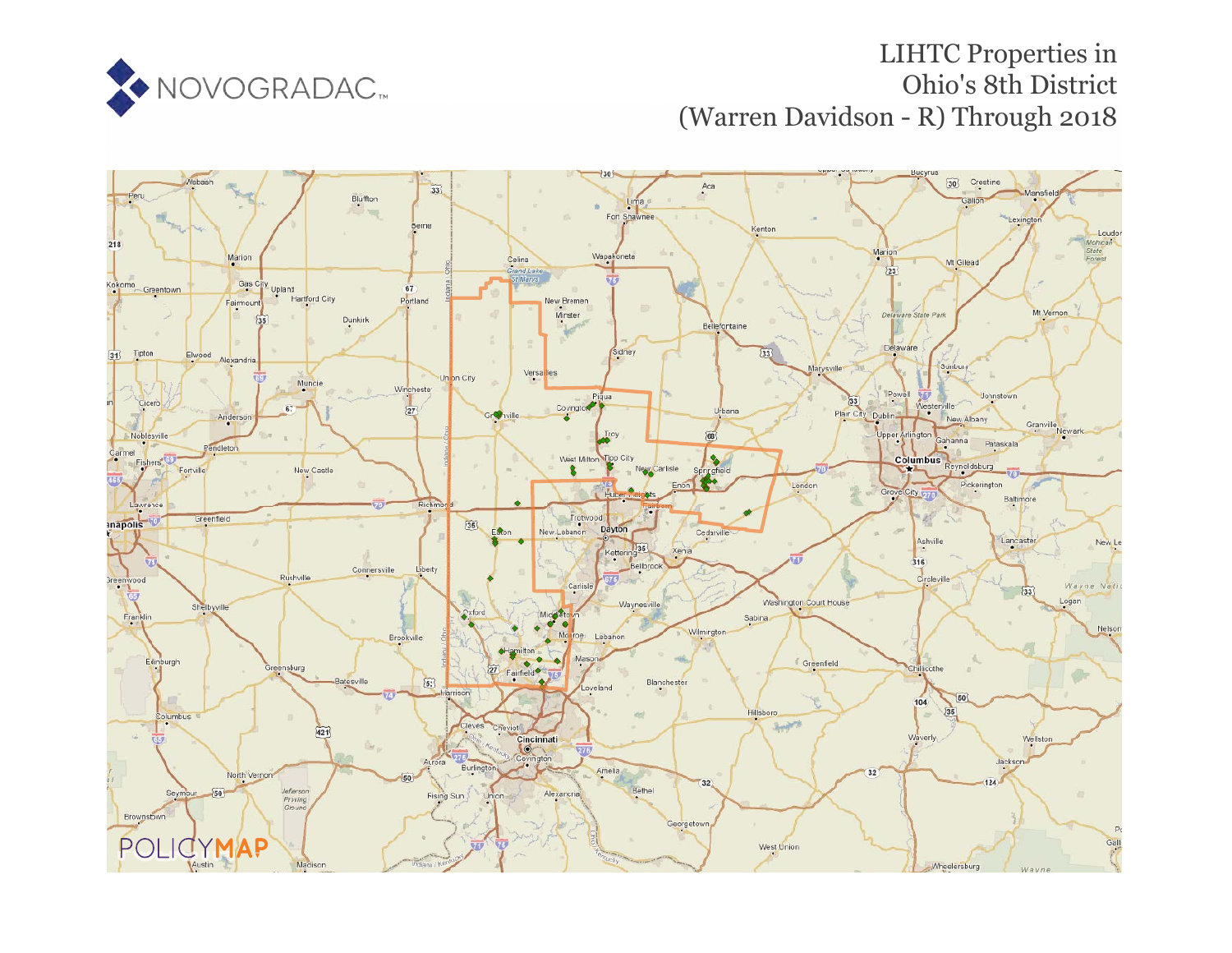

# LIHTC Properties in Ohio's 8th District (Warren Davidson - R) Through 2018

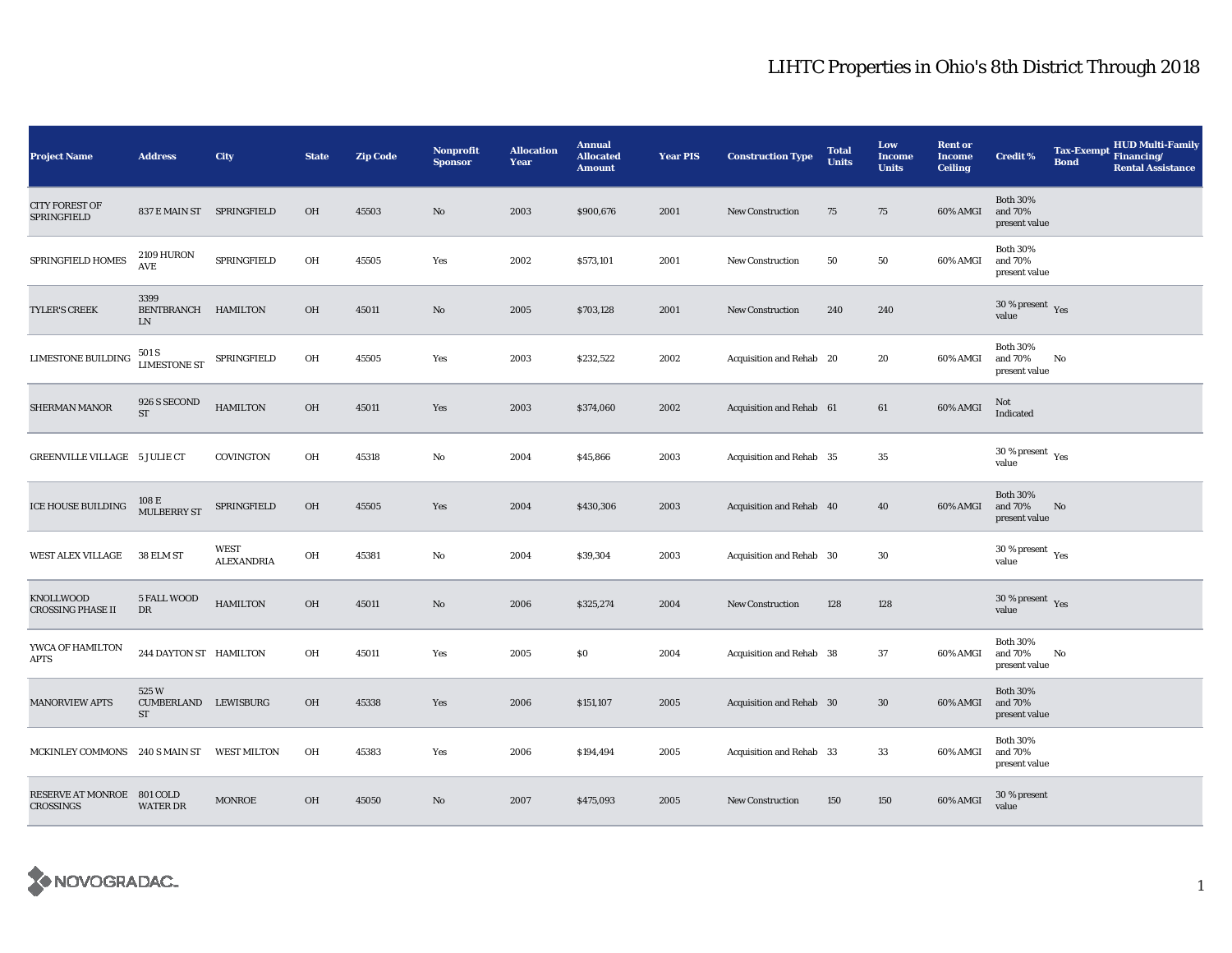| <b>Project Name</b>                          | <b>Address</b>                             | City                      | <b>State</b> | <b>Zip Code</b> | <b>Nonprofit</b><br><b>Sponsor</b> | <b>Allocation</b><br>Year | <b>Annual</b><br><b>Allocated</b><br><b>Amount</b> | <b>Year PIS</b> | <b>Construction Type</b> | <b>Total</b><br><b>Units</b> | Low<br><b>Income</b><br><b>Units</b> | <b>Rent or</b><br><b>Income</b><br><b>Ceiling</b> | <b>Credit %</b>                                      | <b>Tax-Exempt</b><br><b>Bond</b> | <b>HUD Multi-Family</b><br>Financing/<br><b>Rental Assistance</b> |
|----------------------------------------------|--------------------------------------------|---------------------------|--------------|-----------------|------------------------------------|---------------------------|----------------------------------------------------|-----------------|--------------------------|------------------------------|--------------------------------------|---------------------------------------------------|------------------------------------------------------|----------------------------------|-------------------------------------------------------------------|
| <b>CITY FOREST OF</b><br>SPRINGFIELD         | 837 E MAIN ST SPRINGFIELD                  |                           | OH           | 45503           | No                                 | 2003                      | \$900,676                                          | 2001            | <b>New Construction</b>  | 75                           | 75                                   | 60% AMGI                                          | <b>Both 30%</b><br>and 70%<br>present value          |                                  |                                                                   |
| SPRINGFIELD HOMES                            | 2109 HURON<br>AVE                          | SPRINGFIELD               | OH           | 45505           | Yes                                | 2002                      | \$573,101                                          | 2001            | <b>New Construction</b>  | 50                           | 50                                   | 60% AMGI                                          | <b>Both 30%</b><br>and 70%<br>present value          |                                  |                                                                   |
| <b>TYLER'S CREEK</b>                         | 3399<br>BENTBRANCH HAMILTON<br>LN          |                           | OH           | 45011           | No                                 | 2005                      | \$703,128                                          | 2001            | <b>New Construction</b>  | 240                          | 240                                  |                                                   | $30\,\%$ present $\,$ $\rm Yes$<br>value             |                                  |                                                                   |
| <b>LIMESTONE BUILDING</b>                    | 501 S<br>LIMESTONE ST<br>SPRINGFIELD       |                           | OH           | 45505           | Yes                                | 2003                      | \$232,522                                          | 2002            | Acquisition and Rehab 20 |                              | 20                                   | 60% AMGI                                          | <b>Both 30%</b><br>and 70%<br>present value          | No                               |                                                                   |
| SHERMAN MANOR                                | 926 S SECOND<br>$\operatorname{ST}$        | <b>HAMILTON</b>           | OH           | 45011           | Yes                                | 2003                      | \$374,060                                          | 2002            | Acquisition and Rehab 61 |                              | 61                                   | 60% AMGI                                          | Not<br>Indicated                                     |                                  |                                                                   |
| GREENVILLE VILLAGE 5 JULIE CT                |                                            | COVINGTON                 | OH           | 45318           | No                                 | 2004                      | \$45,866                                           | 2003            | Acquisition and Rehab 35 |                              | 35                                   |                                                   | 30 % present $\rm\thinspace\gamma_{\rm es}$<br>value |                                  |                                                                   |
| ICE HOUSE BUILDING                           | 108 E<br><b>MULBERRY ST</b>                | SPRINGFIELD               | OH           | 45505           | Yes                                | 2004                      | \$430,306                                          | 2003            | Acquisition and Rehab 40 |                              | 40                                   | 60% AMGI                                          | <b>Both 30%</b><br>and 70%<br>present value          | No                               |                                                                   |
| WEST ALEX VILLAGE                            | 38 ELM ST                                  | <b>WEST</b><br>ALEXANDRIA | OH           | 45381           | No                                 | 2004                      | \$39,304                                           | 2003            | Acquisition and Rehab 30 |                              | 30                                   |                                                   | $30\,\%$ present $\,$ Yes value                      |                                  |                                                                   |
| <b>KNOLLWOOD</b><br><b>CROSSING PHASE II</b> | 5 FALL WOOD<br>DR                          | <b>HAMILTON</b>           | OH           | 45011           | No                                 | 2006                      | \$325,274                                          | 2004            | New Construction         | 128                          | 128                                  |                                                   | 30 % present $Yes$<br>value                          |                                  |                                                                   |
| YWCA OF HAMILTON<br><b>APTS</b>              | 244 DAYTON ST HAMILTON                     |                           | OH           | 45011           | Yes                                | 2005                      | \$0                                                | 2004            | Acquisition and Rehab 38 |                              | 37                                   | 60% AMGI                                          | <b>Both 30%</b><br>and 70%<br>present value          | No                               |                                                                   |
| <b>MANORVIEW APTS</b>                        | 525W<br>CUMBERLAND LEWISBURG<br>${\rm ST}$ |                           | OH           | 45338           | Yes                                | 2006                      | \$151,107                                          | 2005            | Acquisition and Rehab 30 |                              | 30                                   | 60% AMGI                                          | <b>Both 30%</b><br>and 70%<br>present value          |                                  |                                                                   |
| MCKINLEY COMMONS 240 S MAIN ST               |                                            | <b>WEST MILTON</b>        | OH           | 45383           | Yes                                | 2006                      | \$194,494                                          | 2005            | Acquisition and Rehab 33 |                              | 33                                   | 60% AMGI                                          | <b>Both 30%</b><br>and 70%<br>present value          |                                  |                                                                   |
| RESERVE AT MONROE 801 COLD<br>CROSSINGS      | <b>WATER DR</b>                            | <b>MONROE</b>             | OH           | 45050           | No                                 | 2007                      | \$475,093                                          | 2005            | <b>New Construction</b>  | 150                          | 150                                  | 60% AMGI                                          | 30 % present<br>value                                |                                  |                                                                   |

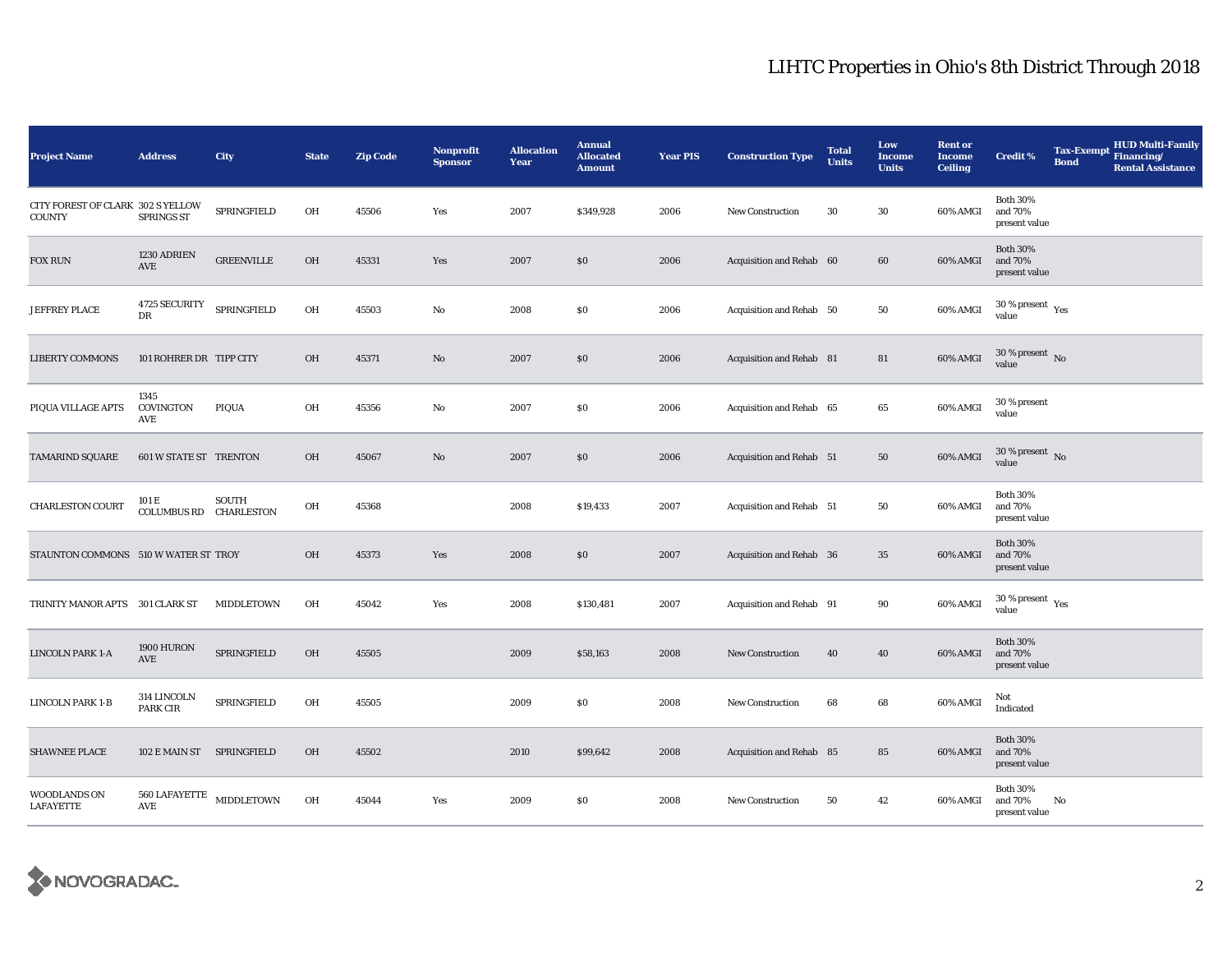| <b>Project Name</b>                                | <b>Address</b>                            | City              | <b>State</b> | <b>Zip Code</b> | <b>Nonprofit</b><br><b>Sponsor</b> | <b>Allocation</b><br>Year | <b>Annual</b><br><b>Allocated</b><br><b>Amount</b> | <b>Year PIS</b> | <b>Construction Type</b> | <b>Total</b><br><b>Units</b> | Low<br><b>Income</b><br><b>Units</b> | <b>Rent or</b><br><b>Income</b><br><b>Ceiling</b> | <b>Credit %</b>                              | <b>Tax-Exempt</b><br><b>Bond</b> | <b>HUD Multi-Family</b><br>Financing/<br><b>Rental Assistance</b> |
|----------------------------------------------------|-------------------------------------------|-------------------|--------------|-----------------|------------------------------------|---------------------------|----------------------------------------------------|-----------------|--------------------------|------------------------------|--------------------------------------|---------------------------------------------------|----------------------------------------------|----------------------------------|-------------------------------------------------------------------|
| CITY FOREST OF CLARK 302 S YELLOW<br><b>COUNTY</b> | <b>SPRINGS ST</b>                         | SPRINGFIELD       | OH           | 45506           | Yes                                | 2007                      | \$349,928                                          | 2006            | New Construction         | 30                           | 30                                   | 60% AMGI                                          | <b>Both 30%</b><br>and 70%<br>present value  |                                  |                                                                   |
| FOX RUN                                            | 1230 ADRIEN<br>AVE                        | <b>GREENVILLE</b> | OH           | 45331           | Yes                                | 2007                      | \$0                                                | 2006            | Acquisition and Rehab 60 |                              | 60                                   | 60% AMGI                                          | <b>Both 30%</b><br>and 70%<br>present value  |                                  |                                                                   |
| <b>JEFFREY PLACE</b>                               | <b>4725 SECURITY</b><br>DR                | SPRINGFIELD       | OH           | 45503           | $_{\rm No}$                        | 2008                      | \$0                                                | 2006            | Acquisition and Rehab 50 |                              | 50                                   | 60% AMGI                                          | $30$ % present $\,$ $\rm Yes$<br>value       |                                  |                                                                   |
| <b>LIBERTY COMMONS</b>                             | 101 ROHRER DR TIPP CITY                   |                   | OH           | 45371           | $\mathbf{N}\mathbf{o}$             | 2007                      | \$0                                                | 2006            | Acquisition and Rehab 81 |                              | 81                                   | 60% AMGI                                          | $30\,\%$ present $\,$ No value               |                                  |                                                                   |
| PIQUA VILLAGE APTS                                 | 1345<br>COVINGTON<br>AVE                  | PIQUA             | OH           | 45356           | No                                 | 2007                      | \$0                                                | 2006            | Acquisition and Rehab 65 |                              | 65                                   | 60% AMGI                                          | 30 % present<br>value                        |                                  |                                                                   |
| <b>TAMARIND SQUARE</b>                             | <b>601 W STATE ST TRENTON</b>             |                   | OH           | 45067           | No                                 | 2007                      | \$0                                                | 2006            | Acquisition and Rehab 51 |                              | 50                                   | 60% AMGI                                          | $30$ % present $\,$ No $\,$<br>value         |                                  |                                                                   |
| <b>CHARLESTON COURT</b>                            | 101 E<br>COLUMBUS RD CHARLESTON           | <b>SOUTH</b>      | OH           | 45368           |                                    | 2008                      | \$19,433                                           | 2007            | Acquisition and Rehab 51 |                              | 50                                   | 60% AMGI                                          | <b>Both 30%</b><br>and 70%<br>present value  |                                  |                                                                   |
| STAUNTON COMMONS 510 W WATER ST TROY               |                                           |                   | OH           | 45373           | Yes                                | 2008                      | \$0                                                | 2007            | Acquisition and Rehab 36 |                              | 35                                   | 60% AMGI                                          | <b>Both 30%</b><br>and 70%<br>present value  |                                  |                                                                   |
| TRINITY MANOR APTS 301 CLARK ST                    |                                           | MIDDLETOWN        | OH           | 45042           | Yes                                | 2008                      | \$130,481                                          | 2007            | Acquisition and Rehab 91 |                              | 90                                   | 60% AMGI                                          | $30$ % present $\rm\thinspace\,Yes$<br>value |                                  |                                                                   |
| <b>LINCOLN PARK 1-A</b>                            | 1900 HURON<br>AVE                         | SPRINGFIELD       | <b>OH</b>    | 45505           |                                    | 2009                      | \$58,163                                           | 2008            | <b>New Construction</b>  | 40                           | 40                                   | 60% AMGI                                          | <b>Both 30%</b><br>and 70%<br>present value  |                                  |                                                                   |
| LINCOLN PARK 1-B                                   | 314 LINCOLN<br><b>PARK CIR</b>            | SPRINGFIELD       | OH           | 45505           |                                    | 2009                      | \$0                                                | 2008            | New Construction         | 68                           | 68                                   | 60% AMGI                                          | Not<br>Indicated                             |                                  |                                                                   |
| <b>SHAWNEE PLACE</b>                               | 102 E MAIN ST SPRINGFIELD                 |                   | OH           | 45502           |                                    | 2010                      | \$99,642                                           | 2008            | Acquisition and Rehab 85 |                              | 85                                   | 60% AMGI                                          | <b>Both 30%</b><br>and 70%<br>present value  |                                  |                                                                   |
| <b>WOODLANDS ON</b><br><b>LAFAYETTE</b>            | $560$ LAFAYETTE $$\tt MIDDLETOWN$$<br>AVE |                   | OH           | 45044           | Yes                                | 2009                      | \$0                                                | 2008            | <b>New Construction</b>  | 50                           | 42                                   | 60% AMGI                                          | <b>Both 30%</b><br>and 70%<br>present value  | No                               |                                                                   |

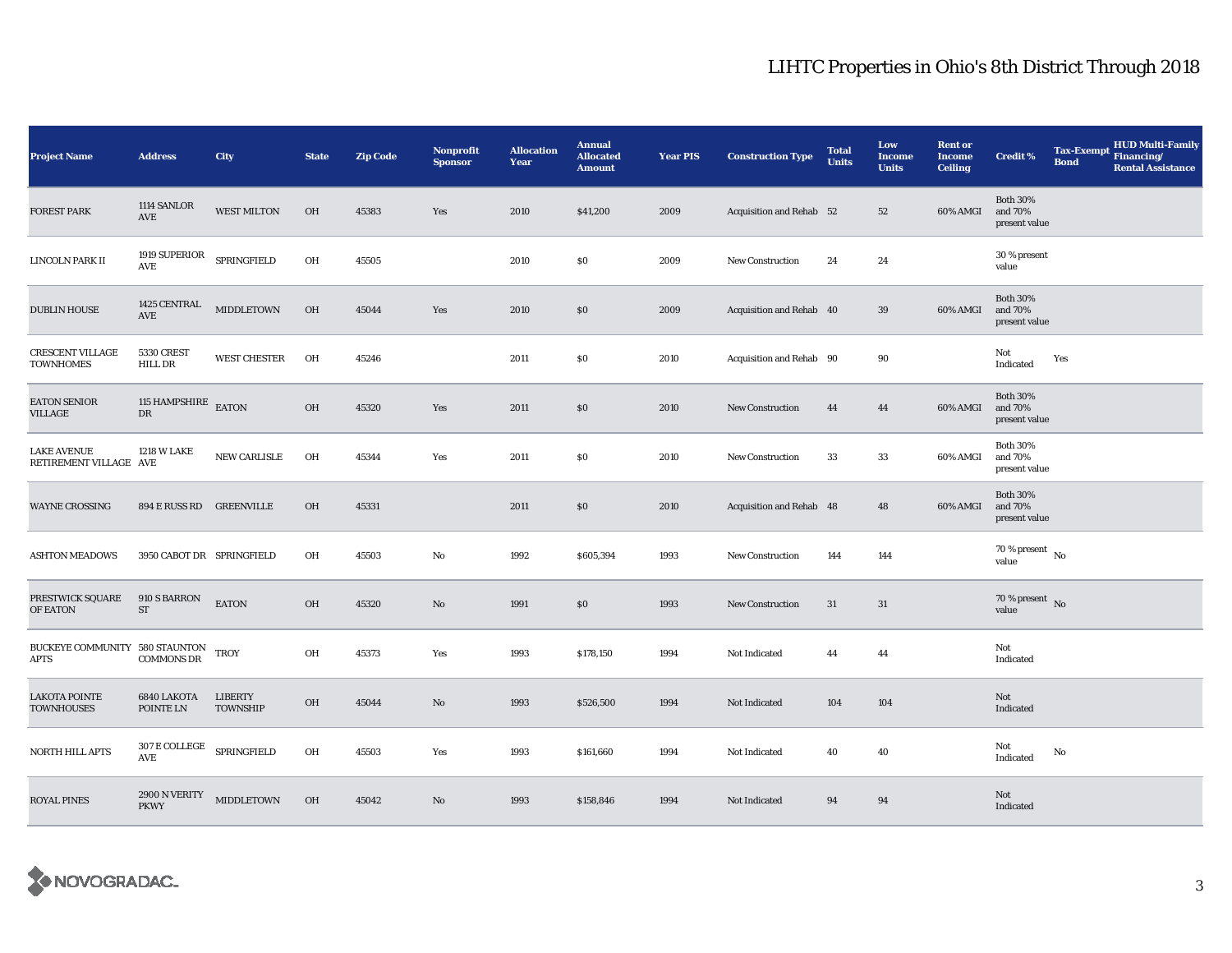| <b>Project Name</b>                           | <b>Address</b>                                                | City                              | <b>State</b> | <b>Zip Code</b> | <b>Nonprofit</b><br><b>Sponsor</b> | <b>Allocation</b><br><b>Year</b> | <b>Annual</b><br><b>Allocated</b><br><b>Amount</b> | <b>Year PIS</b> | <b>Construction Type</b> | <b>Total</b><br><b>Units</b> | Low<br><b>Income</b><br><b>Units</b> | <b>Rent or</b><br><b>Income</b><br><b>Ceiling</b> | <b>Credit %</b>                             | <b>Tax-Exempt</b><br><b>Bond</b> | HUD Multi-Family<br>Financing/<br><b>Rental Assistance</b> |
|-----------------------------------------------|---------------------------------------------------------------|-----------------------------------|--------------|-----------------|------------------------------------|----------------------------------|----------------------------------------------------|-----------------|--------------------------|------------------------------|--------------------------------------|---------------------------------------------------|---------------------------------------------|----------------------------------|------------------------------------------------------------|
| <b>FOREST PARK</b>                            | 1114 SANLOR<br>AVE                                            | <b>WEST MILTON</b>                | OH           | 45383           | Yes                                | 2010                             | \$41,200                                           | 2009            | Acquisition and Rehab 52 |                              | 52                                   | 60% AMGI                                          | <b>Both 30%</b><br>and 70%<br>present value |                                  |                                                            |
| LINCOLN PARK II                               | 1919 SUPERIOR<br>AVE                                          | SPRINGFIELD                       | OH           | 45505           |                                    | 2010                             | \$0                                                | 2009            | <b>New Construction</b>  | 24                           | 24                                   |                                                   | 30 % present<br>value                       |                                  |                                                            |
| <b>DUBLIN HOUSE</b>                           | 1425 CENTRAL<br><b>AVE</b>                                    | MIDDLETOWN                        | OH           | 45044           | Yes                                | 2010                             | $\$0$                                              | 2009            | Acquisition and Rehab 40 |                              | 39                                   | 60% AMGI                                          | <b>Both 30%</b><br>and 70%<br>present value |                                  |                                                            |
| <b>CRESCENT VILLAGE</b><br><b>TOWNHOMES</b>   | <b>5330 CREST</b><br><b>HILL DR</b>                           | <b>WEST CHESTER</b>               | OH           | 45246           |                                    | 2011                             | \$0                                                | 2010            | Acquisition and Rehab 90 |                              | 90                                   |                                                   | Not<br>Indicated                            | Yes                              |                                                            |
| <b>EATON SENIOR</b><br>VILLAGE                | 115 HAMPSHIRE<br>${\rm DR}$                                   | EATON                             | <b>OH</b>    | 45320           | Yes                                | 2011                             | \$0                                                | 2010            | <b>New Construction</b>  | 44                           | 44                                   | 60% AMGI                                          | <b>Both 30%</b><br>and 70%<br>present value |                                  |                                                            |
| <b>LAKE AVENUE</b><br>RETIREMENT VILLAGE AVE  | <b>1218 W LAKE</b>                                            | NEW CARLISLE                      | OH           | 45344           | Yes                                | 2011                             | \$0                                                | 2010            | <b>New Construction</b>  | 33                           | 33                                   | 60% AMGI                                          | <b>Both 30%</b><br>and 70%<br>present value |                                  |                                                            |
| WAYNE CROSSING                                | 894 E RUSS RD GREENVILLE                                      |                                   | <b>OH</b>    | 45331           |                                    | 2011                             | \$0                                                | 2010            | Acquisition and Rehab 48 |                              | 48                                   | 60% AMGI                                          | <b>Both 30%</b><br>and 70%<br>present value |                                  |                                                            |
| <b>ASHTON MEADOWS</b>                         | 3950 CABOT DR SPRINGFIELD                                     |                                   | OH           | 45503           | No                                 | 1992                             | \$605,394                                          | 1993            | <b>New Construction</b>  | 144                          | 144                                  |                                                   | $70\,\%$ present $\,$ No $\,$<br>value      |                                  |                                                            |
| PRESTWICK SQUARE<br>OF EATON                  | 910 S BARRON<br>$\operatorname{ST}$                           | <b>EATON</b>                      | OH           | 45320           | No                                 | 1991                             | \$0                                                | 1993            | <b>New Construction</b>  | 31                           | 31                                   |                                                   | $70\%$ present No<br>value                  |                                  |                                                            |
| BUCKEYE COMMUNITY 580 STAUNTON<br><b>APTS</b> | <b>COMMONS DR</b>                                             | <b>TROY</b>                       | OH           | 45373           | Yes                                | 1993                             | \$178,150                                          | 1994            | Not Indicated            | 44                           | 44                                   |                                                   | Not<br>Indicated                            |                                  |                                                            |
| <b>LAKOTA POINTE</b><br>TOWNHOUSES            | 6840 LAKOTA<br>POINTE LN                                      | <b>LIBERTY</b><br><b>TOWNSHIP</b> | OH           | 45044           | No                                 | 1993                             | \$526,500                                          | 1994            | Not Indicated            | 104                          | $104\,$                              |                                                   | Not<br>Indicated                            |                                  |                                                            |
| <b>NORTH HILL APTS</b>                        | $307\,\mathrm{E}\,\mathrm{COLLEGE}$ SPRINGFIELD<br><b>AVE</b> |                                   | OH           | 45503           | Yes                                | 1993                             | \$161,660                                          | 1994            | Not Indicated            | 40                           | 40                                   |                                                   | Not<br>Indicated                            | No                               |                                                            |
| <b>ROYAL PINES</b>                            | 2900 N VERITY<br><b>PKWY</b>                                  | MIDDLETOWN                        | OH           | 45042           | No                                 | 1993                             | \$158,846                                          | 1994            | Not Indicated            | 94                           | 94                                   |                                                   | Not<br>Indicated                            |                                  |                                                            |

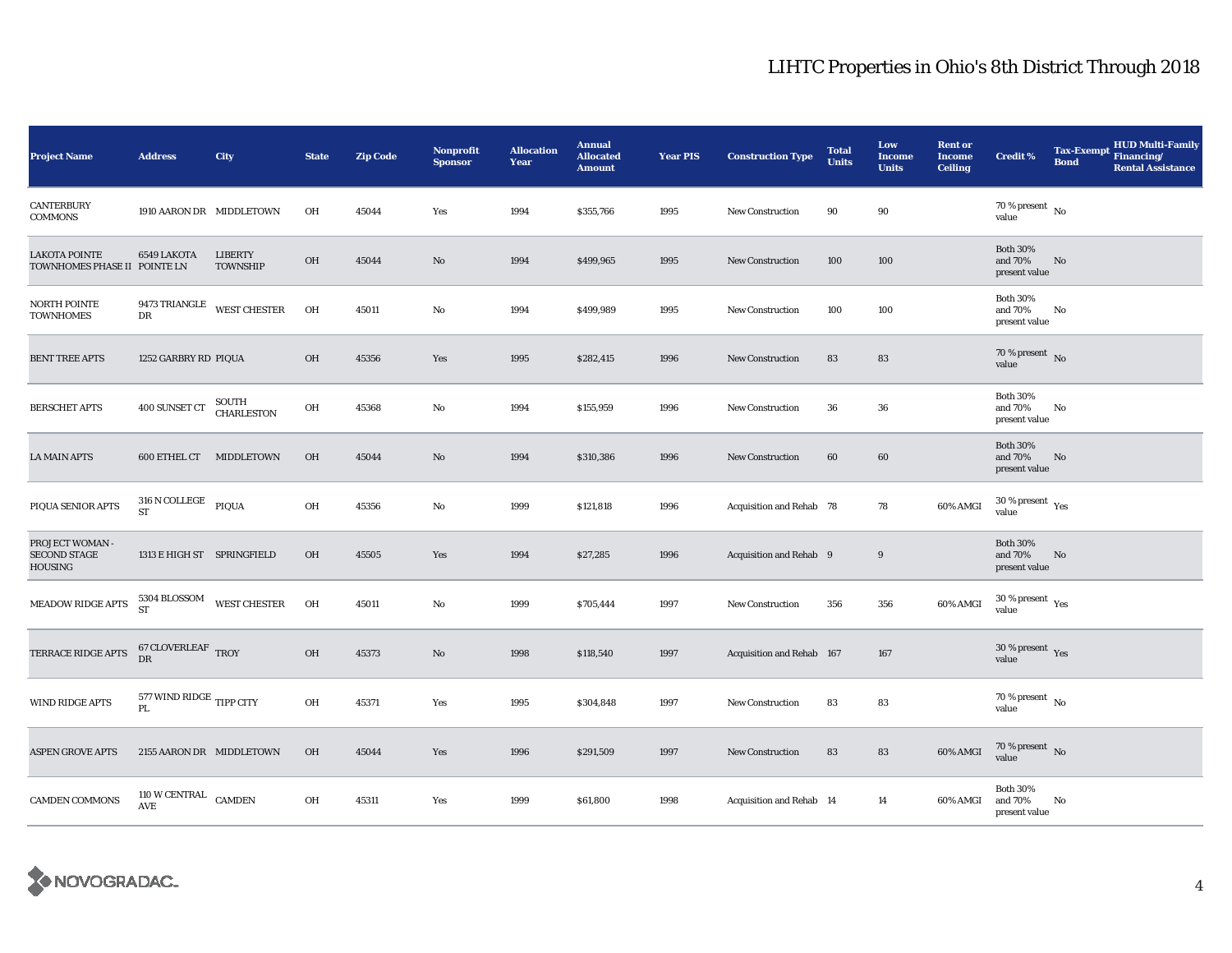| <b>Project Name</b>                                  | <b>Address</b>                           | City                              | <b>State</b> | <b>Zip Code</b> | <b>Nonprofit</b><br><b>Sponsor</b> | <b>Allocation</b><br>Year | <b>Annual</b><br><b>Allocated</b><br><b>Amount</b> | <b>Year PIS</b> | <b>Construction Type</b>  | <b>Total</b><br><b>Units</b> | Low<br><b>Income</b><br><b>Units</b> | <b>Rent or</b><br><b>Income</b><br><b>Ceiling</b> | <b>Credit %</b>                             | <b>Tax-Exempt</b><br><b>Bond</b> | <b>HUD Multi-Family</b><br>Financing/<br><b>Rental Assistance</b> |
|------------------------------------------------------|------------------------------------------|-----------------------------------|--------------|-----------------|------------------------------------|---------------------------|----------------------------------------------------|-----------------|---------------------------|------------------------------|--------------------------------------|---------------------------------------------------|---------------------------------------------|----------------------------------|-------------------------------------------------------------------|
| <b>CANTERBURY</b><br><b>COMMONS</b>                  | 1910 AARON DR MIDDLETOWN                 |                                   | OH           | 45044           | Yes                                | 1994                      | \$355,766                                          | 1995            | New Construction          | 90                           | 90                                   |                                                   | 70 % present $\hbox{~No}$<br>value          |                                  |                                                                   |
| <b>LAKOTA POINTE</b><br>TOWNHOMES PHASE II POINTE LN | 6549 LAKOTA                              | <b>LIBERTY</b><br><b>TOWNSHIP</b> | $OH$         | 45044           | $\mathbf{No}$                      | 1994                      | \$499,965                                          | 1995            | <b>New Construction</b>   | 100                          | 100                                  |                                                   | <b>Both 30%</b><br>and 70%<br>present value | No                               |                                                                   |
| NORTH POINTE<br><b>TOWNHOMES</b>                     | DR                                       | 9473 TRIANGLE WEST CHESTER        | OH           | 45011           | No                                 | 1994                      | \$499,989                                          | 1995            | <b>New Construction</b>   | 100                          | 100                                  |                                                   | <b>Both 30%</b><br>and 70%<br>present value | No                               |                                                                   |
| <b>BENT TREE APTS</b>                                | 1252 GARBRY RD PIQUA                     |                                   | OH           | 45356           | Yes                                | 1995                      | \$282,415                                          | 1996            | <b>New Construction</b>   | 83                           | 83                                   |                                                   | $70$ % present $${\rm No}$$ value           |                                  |                                                                   |
| <b>BERSCHET APTS</b>                                 | 400 SUNSET CT                            | SOUTH<br>CHARLESTON               | OH           | 45368           | $\mathbf{No}$                      | 1994                      | \$155,959                                          | 1996            | <b>New Construction</b>   | 36                           | 36                                   |                                                   | <b>Both 30%</b><br>and 70%<br>present value | No                               |                                                                   |
| <b>LA MAIN APTS</b>                                  | 600 ETHEL CT MIDDLETOWN                  |                                   | OH           | 45044           | No                                 | 1994                      | \$310,386                                          | 1996            | <b>New Construction</b>   | 60                           | 60                                   |                                                   | <b>Both 30%</b><br>and 70%<br>present value | No                               |                                                                   |
| PIQUA SENIOR APTS                                    | $316$ N COLLEGE $\quad$ PIQUA<br>ST      |                                   | OH           | 45356           | No                                 | 1999                      | \$121,818                                          | 1996            | Acquisition and Rehab 78  |                              | 78                                   | 60% AMGI                                          | $30\,\%$ present $\,$ Yes value             |                                  |                                                                   |
| PROJECT WOMAN -<br><b>SECOND STAGE</b><br>HOUSING    | 1313 E HIGH ST SPRINGFIELD               |                                   | OH           | 45505           | Yes                                | 1994                      | \$27,285                                           | 1996            | Acquisition and Rehab 9   |                              | 9                                    |                                                   | <b>Both 30%</b><br>and 70%<br>present value | No                               |                                                                   |
| MEADOW RIDGE APTS                                    | 5304 BLOSSOM<br>ST                       | <b>WEST CHESTER</b>               | OH           | 45011           | $\mathbf{No}$                      | 1999                      | \$705,444                                          | 1997            | <b>New Construction</b>   | 356                          | 356                                  | 60% AMGI                                          | $30\,\%$ present $\,$ Yes value             |                                  |                                                                   |
| TERRACE RIDGE APTS                                   | $67\,\mbox{CLOVERLEAF} \ \mbox{TROY}$ DR |                                   | OH           | 45373           | No                                 | 1998                      | \$118,540                                          | 1997            | Acquisition and Rehab 167 |                              | 167                                  |                                                   | $30\,\%$ present $\,$ Yes value             |                                  |                                                                   |
| WIND RIDGE APTS                                      | 577 WIND RIDGE TIPP CITY<br>PL           |                                   | OH           | 45371           | Yes                                | 1995                      | \$304,848                                          | 1997            | <b>New Construction</b>   | 83                           | 83                                   |                                                   | $70\,\%$ present $\,$ No value              |                                  |                                                                   |
| <b>ASPEN GROVE APTS</b>                              | 2155 AARON DR MIDDLETOWN                 |                                   | OH           | 45044           | Yes                                | 1996                      | \$291,509                                          | 1997            | New Construction          | 83                           | 83                                   | 60% AMGI                                          | $70\,\%$ present $${\rm No}$$ value         |                                  |                                                                   |
| <b>CAMDEN COMMONS</b>                                | 110 W CENTRAL CAMDEN<br>AVE              |                                   | OH           | 45311           | Yes                                | 1999                      | \$61,800                                           | 1998            | Acquisition and Rehab 14  |                              | 14                                   | 60% AMGI                                          | <b>Both 30%</b><br>and 70%<br>present value | No                               |                                                                   |

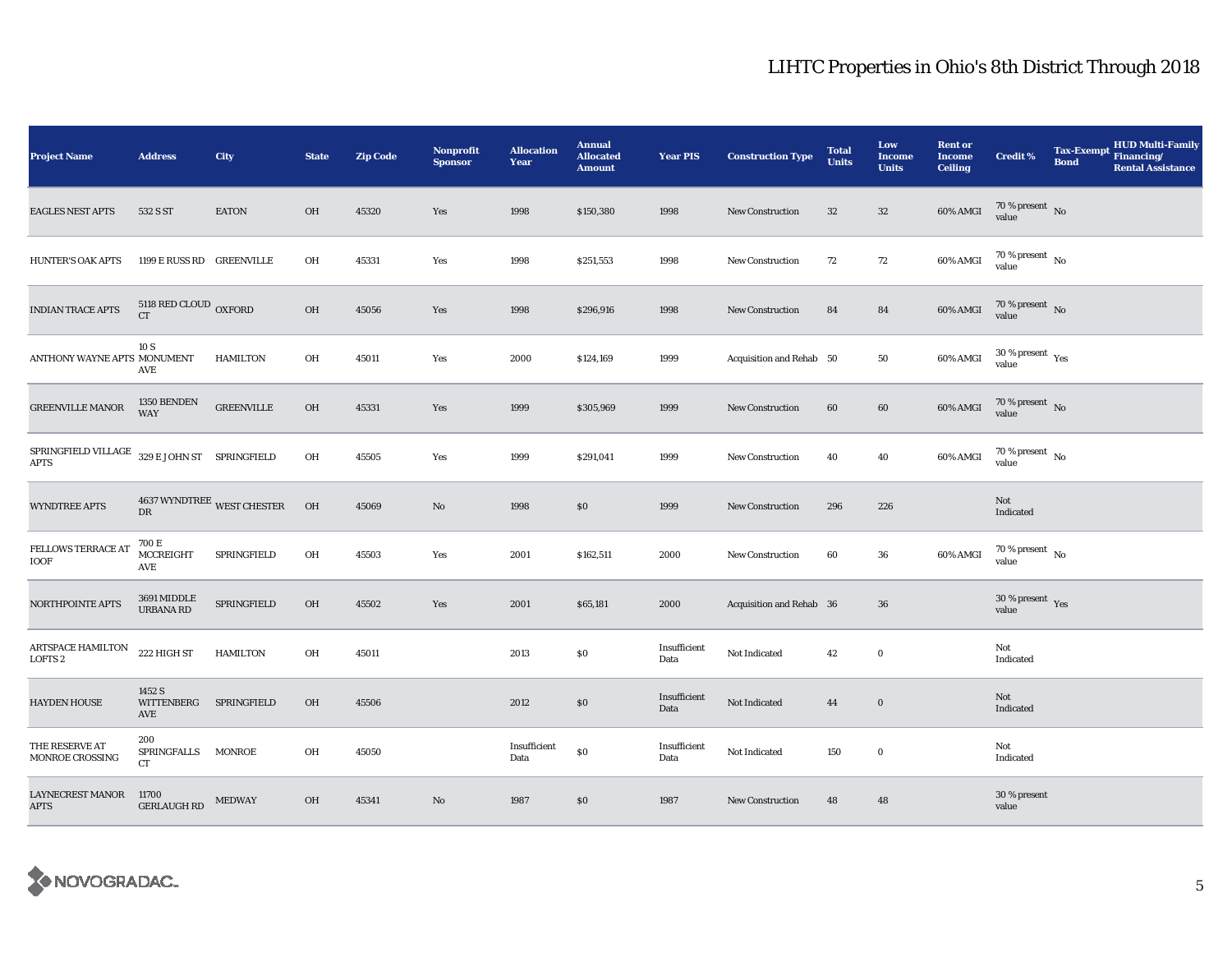| <b>Project Name</b>                        | <b>Address</b>                        | City                       | <b>State</b> | <b>Zip Code</b> | <b>Nonprofit</b><br><b>Sponsor</b> | <b>Allocation</b><br>Year | <b>Annual</b><br><b>Allocated</b><br><b>Amount</b> | <b>Year PIS</b>      | <b>Construction Type</b> | <b>Total</b><br><b>Units</b> | Low<br><b>Income</b><br><b>Units</b> | <b>Rent or</b><br><b>Income</b><br><b>Ceiling</b> | <b>Credit %</b>                        | <b>Tax-Exempt</b><br><b>Bond</b> | HUD Multi-Family<br>Financing/<br><b>Rental Assistance</b> |
|--------------------------------------------|---------------------------------------|----------------------------|--------------|-----------------|------------------------------------|---------------------------|----------------------------------------------------|----------------------|--------------------------|------------------------------|--------------------------------------|---------------------------------------------------|----------------------------------------|----------------------------------|------------------------------------------------------------|
| <b>EAGLES NEST APTS</b>                    | 532 S ST                              | <b>EATON</b>               | OH           | 45320           | Yes                                | 1998                      | \$150,380                                          | 1998                 | New Construction         | 32                           | $32\,$                               | 60% AMGI                                          | 70 % present $\,$ No $\,$<br>value     |                                  |                                                            |
| <b>HUNTER'S OAK APTS</b>                   | 1199 E RUSS RD GREENVILLE             |                            | OH           | 45331           | Yes                                | 1998                      | \$251,553                                          | 1998                 | <b>New Construction</b>  | 72                           | 72                                   | 60% AMGI                                          | $70$ % present $\,$ No $\,$<br>value   |                                  |                                                            |
| <b>INDIAN TRACE APTS</b>                   | 5118 RED CLOUD OXFORD<br><b>CT</b>    |                            | OH           | 45056           | Yes                                | 1998                      | \$296,916                                          | 1998                 | <b>New Construction</b>  | 84                           | 84                                   | 60% AMGI                                          | $70\,\%$ present $\,$ No value         |                                  |                                                            |
| ANTHONY WAYNE APTS MONUMENT                | 10 S<br>AVE                           | <b>HAMILTON</b>            | OH           | 45011           | Yes                                | 2000                      | \$124,169                                          | 1999                 | Acquisition and Rehab 50 |                              | 50                                   | 60% AMGI                                          | $30$ % present $\,$ $\rm Yes$<br>value |                                  |                                                            |
| <b>GREENVILLE MANOR</b>                    | 1350 BENDEN<br><b>WAY</b>             | <b>GREENVILLE</b>          | OH           | 45331           | Yes                                | 1999                      | \$305,969                                          | 1999                 | New Construction         | 60                           | 60                                   | 60% AMGI                                          | $70\,\%$ present $\,$ No value         |                                  |                                                            |
| ${\tt SPRINGFIELD}$ VILLAGE<br><b>APTS</b> | $329\,\mathrm{E}$ JOHN ST SPRINGFIELD |                            | OH           | 45505           | Yes                                | 1999                      | \$291,041                                          | 1999                 | New Construction         | 40                           | 40                                   | 60% AMGI                                          | $70$ % present $\,$ No $\,$<br>value   |                                  |                                                            |
| <b>WYNDTREE APTS</b>                       | DR                                    | 4637 WYNDTREE WEST CHESTER | OH           | 45069           | No                                 | 1998                      | \$0                                                | 1999                 | New Construction         | 296                          | 226                                  |                                                   | Not<br>Indicated                       |                                  |                                                            |
| <b>FELLOWS TERRACE AT</b><br>IOOF          | 700 E<br>MCCREIGHT<br>AVE             | SPRINGFIELD                | OH           | 45503           | Yes                                | 2001                      | \$162,511                                          | 2000                 | <b>New Construction</b>  | 60                           | 36                                   | 60% AMGI                                          | $70$ % present $\,$ No $\,$<br>value   |                                  |                                                            |
| NORTHPOINTE APTS                           | 3691 MIDDLE<br>URBANA RD              | SPRINGFIELD                | OH           | 45502           | Yes                                | 2001                      | \$65,181                                           | 2000                 | Acquisition and Rehab 36 |                              | 36                                   |                                                   | 30 % present $Yes$<br>value            |                                  |                                                            |
| ARTSPACE HAMILTON<br><b>LOFTS 2</b>        | 222 HIGH ST                           | <b>HAMILTON</b>            | OH           | 45011           |                                    | 2013                      | \$0                                                | Insufficient<br>Data | Not Indicated            | 42                           | $\bf{0}$                             |                                                   | Not<br>Indicated                       |                                  |                                                            |
| <b>HAYDEN HOUSE</b>                        | 1452 S<br>WITTENBERG<br>AVE           | SPRINGFIELD                | OH           | 45506           |                                    | 2012                      | \$0                                                | Insufficient<br>Data | Not Indicated            | 44                           | $\bf{0}$                             |                                                   | Not<br>Indicated                       |                                  |                                                            |
| THE RESERVE AT<br>MONROE CROSSING          | 200<br>SPRINGFALLS MONROE<br>CT       |                            | OH           | 45050           |                                    | Insufficient<br>Data      | \$0                                                | Insufficient<br>Data | Not Indicated            | 150                          | $\bf{0}$                             |                                                   | Not<br>Indicated                       |                                  |                                                            |
| <b>LAYNECREST MANOR</b><br><b>APTS</b>     | 11700<br><b>GERLAUGH RD</b>           | <b>MEDWAY</b>              | OH           | 45341           | No                                 | 1987                      | \$0                                                | 1987                 | New Construction         | 48                           | 48                                   |                                                   | 30 % present<br>value                  |                                  |                                                            |

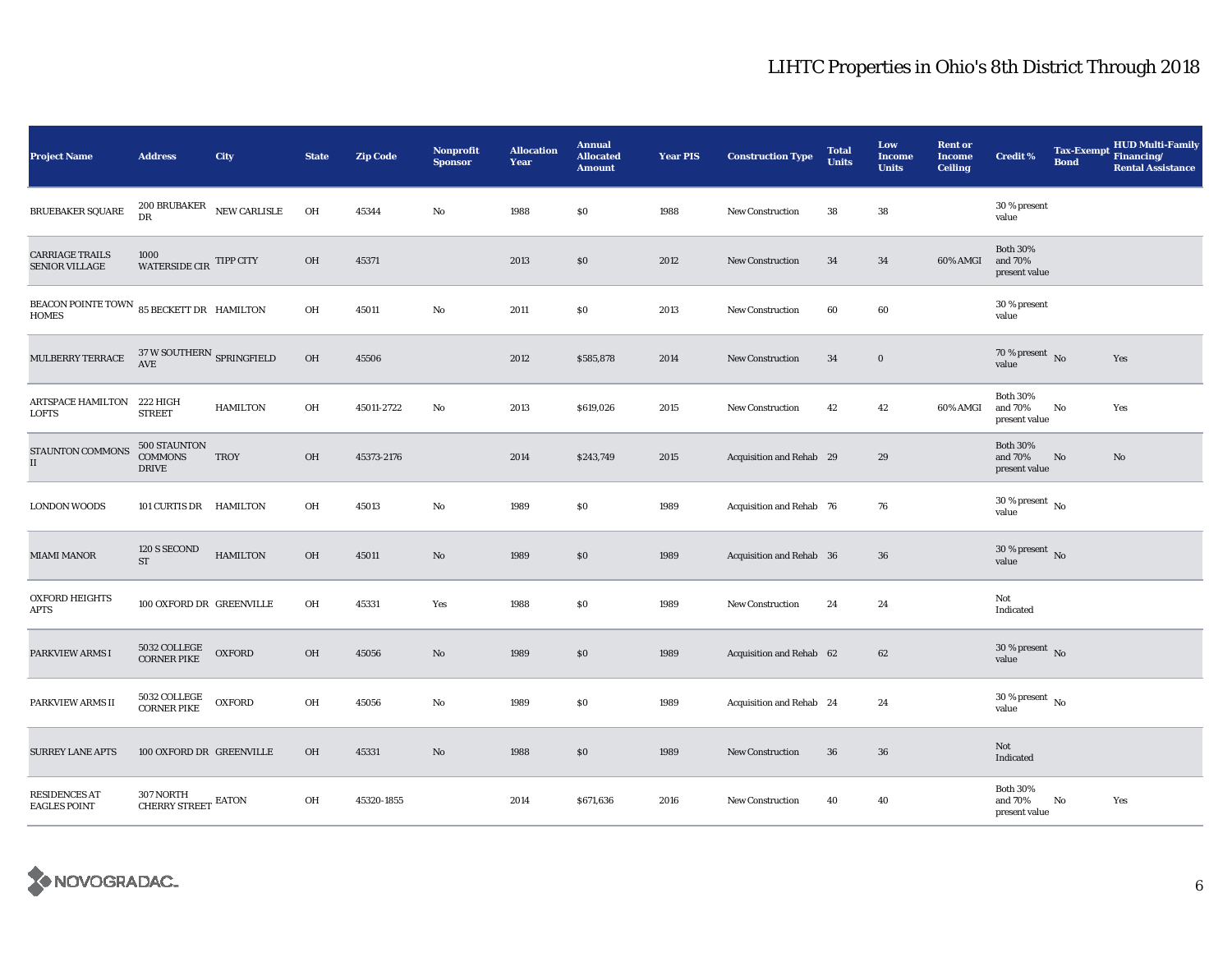| <b>Project Name</b>                                       | <b>Address</b>                                                | City            | <b>State</b> | <b>Zip Code</b> | <b>Nonprofit</b><br><b>Sponsor</b> | <b>Allocation</b><br>Year | <b>Annual</b><br><b>Allocated</b><br><b>Amount</b> | <b>Year PIS</b> | <b>Construction Type</b> | <b>Total</b><br><b>Units</b> | Low<br><b>Income</b><br><b>Units</b> | <b>Rent or</b><br><b>Income</b><br><b>Ceiling</b> | <b>Credit %</b>                             | <b>Tax-Exempt</b><br><b>Bond</b> | <b>HUD Multi-Family</b><br>Financing/<br><b>Rental Assistance</b> |
|-----------------------------------------------------------|---------------------------------------------------------------|-----------------|--------------|-----------------|------------------------------------|---------------------------|----------------------------------------------------|-----------------|--------------------------|------------------------------|--------------------------------------|---------------------------------------------------|---------------------------------------------|----------------------------------|-------------------------------------------------------------------|
| <b>BRUEBAKER SQUARE</b>                                   | 200 BRUBAKER<br>DR                                            | NEW CARLISLE    | OH           | 45344           | $\rm No$                           | 1988                      | \$0                                                | 1988            | New Construction         | 38                           | ${\bf 38}$                           |                                                   | 30 % present<br>value                       |                                  |                                                                   |
| <b>CARRIAGE TRAILS</b><br><b>SENIOR VILLAGE</b>           | 1000<br>WATERSIDE CIR TIPP CITY                               |                 | OH           | 45371           |                                    | 2013                      | $\$0$                                              | 2012            | <b>New Construction</b>  | 34                           | 34                                   | 60% AMGI                                          | <b>Both 30%</b><br>and 70%<br>present value |                                  |                                                                   |
| BEACON POINTE TOWN 85 BECKETT DR HAMILTON<br><b>HOMES</b> |                                                               |                 | OH           | 45011           | No                                 | 2011                      | \$0                                                | 2013            | New Construction         | 60                           | 60                                   |                                                   | 30 % present<br>value                       |                                  |                                                                   |
| MULBERRY TERRACE                                          | $37\,\rm{W}$ SOUTHERN $_{\mbox{\scriptsize{SPRINGFIED}}}$ AVE |                 | OH           | 45506           |                                    | 2012                      | \$585,878                                          | 2014            | <b>New Construction</b>  | 34                           | $\bf{0}$                             |                                                   | 70 % present $\log$<br>value                |                                  | Yes                                                               |
| ARTSPACE HAMILTON 222 HIGH<br><b>LOFTS</b>                | <b>STREET</b>                                                 | <b>HAMILTON</b> | OH           | 45011-2722      | No                                 | 2013                      | \$619,026                                          | 2015            | <b>New Construction</b>  | 42                           | 42                                   | 60% AMGI                                          | <b>Both 30%</b><br>and 70%<br>present value | No                               | Yes                                                               |
| STAUNTON COMMONS<br>$\rm II$                              | 500 STAUNTON<br><b>COMMONS</b><br><b>DRIVE</b>                | <b>TROY</b>     | OH           | 45373-2176      |                                    | 2014                      | \$243,749                                          | 2015            | Acquisition and Rehab 29 |                              | 29                                   |                                                   | <b>Both 30%</b><br>and 70%<br>present value | No                               | No                                                                |
| <b>LONDON WOODS</b>                                       | 101 CURTIS DR HAMILTON                                        |                 | OH           | 45013           | No                                 | 1989                      | \$0                                                | 1989            | Acquisition and Rehab 76 |                              | 76                                   |                                                   | $30$ % present $\,$ No $\,$<br>value        |                                  |                                                                   |
| <b>MIAMI MANOR</b>                                        | 120 S SECOND<br>$\operatorname{ST}$                           | <b>HAMILTON</b> | OH           | 45011           | $\rm No$                           | 1989                      | \$0                                                | 1989            | Acquisition and Rehab 36 |                              | 36                                   |                                                   | 30 % present $\,$ No $\,$<br>value          |                                  |                                                                   |
| <b>OXFORD HEIGHTS</b><br><b>APTS</b>                      | 100 OXFORD DR GREENVILLE                                      |                 | OH           | 45331           | Yes                                | 1988                      | \$0                                                | 1989            | New Construction         | 24                           | 24                                   |                                                   | Not<br>Indicated                            |                                  |                                                                   |
| PARKVIEW ARMS I                                           | 5032 COLLEGE<br><b>CORNER PIKE</b>                            | <b>OXFORD</b>   | OH           | 45056           | $\mathbf{N}\mathbf{o}$             | 1989                      | \$0                                                | 1989            | Acquisition and Rehab 62 |                              | 62                                   |                                                   | 30 % present $\overline{N}$<br>value        |                                  |                                                                   |
| PARKVIEW ARMS II                                          | 5032 COLLEGE<br><b>CORNER PIKE</b>                            | <b>OXFORD</b>   | OH           | 45056           | No                                 | 1989                      | \$0                                                | 1989            | Acquisition and Rehab 24 |                              | 24                                   |                                                   | 30 % present $\,$ No $\,$<br>value          |                                  |                                                                   |
| <b>SURREY LANE APTS</b>                                   | 100 OXFORD DR GREENVILLE                                      |                 | OH           | 45331           | No                                 | 1988                      | \$0                                                | 1989            | <b>New Construction</b>  | 36                           | 36                                   |                                                   | Not<br>Indicated                            |                                  |                                                                   |
| <b>RESIDENCES AT</b><br><b>EAGLES POINT</b>               | 307 NORTH<br>CHERRY STREET EATON                              |                 | OH           | 45320-1855      |                                    | 2014                      | \$671,636                                          | 2016            | <b>New Construction</b>  | 40                           | 40                                   |                                                   | <b>Both 30%</b><br>and 70%<br>present value | No                               | Yes                                                               |